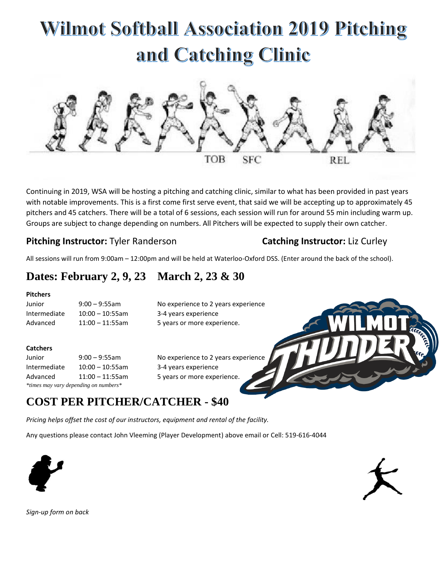# **Wilmot Softball Association 2019 Pitching** and Catching Clinic



Continuing in 2019, WSA will be hosting a pitching and catching clinic, similar to what has been provided in past years with notable improvements. This is a first come first serve event, that said we will be accepting up to approximately 45 pitchers and 45 catchers. There will be a total of 6 sessions, each session will run for around 55 min including warm up. Groups are subject to change depending on numbers. All Pitchers will be expected to supply their own catcher.

### **Pitching Instructor:** Tyler Randerson **Catching Instructor:** Liz Curley

All sessions will run from 9:00am – 12:00pm and will be held at Waterloo-Oxford DSS. (Enter around the back of the school).

## **Dates: February 2, 9, 23 March 2, 23 & 30**

#### **Pitchers**

Junior 9:00 – 9:55am No experience to 2 years experience Intermediate 10:00 – 10:55am 3-4 years experience Advanced 11:00 – 11:55am 5 years or more experience.

#### **Catchers**

Junior 9:00 – 9:55am No experience to 2 years experience Intermediate 10:00 – 10:55am 3-4 years experience Advanced 11:00 – 11:55am 5 years or more experience. *\*times may vary depending on numbers\**

## **COST PER PITCHER/CATCHER - \$40**

*Pricing helps offset the cost of our instructors, equipment and rental of the facility.* 

Any questions please contact John Vleeming (Player Development) above email or Cell: 519-616-4044





*Sign-up form on back*